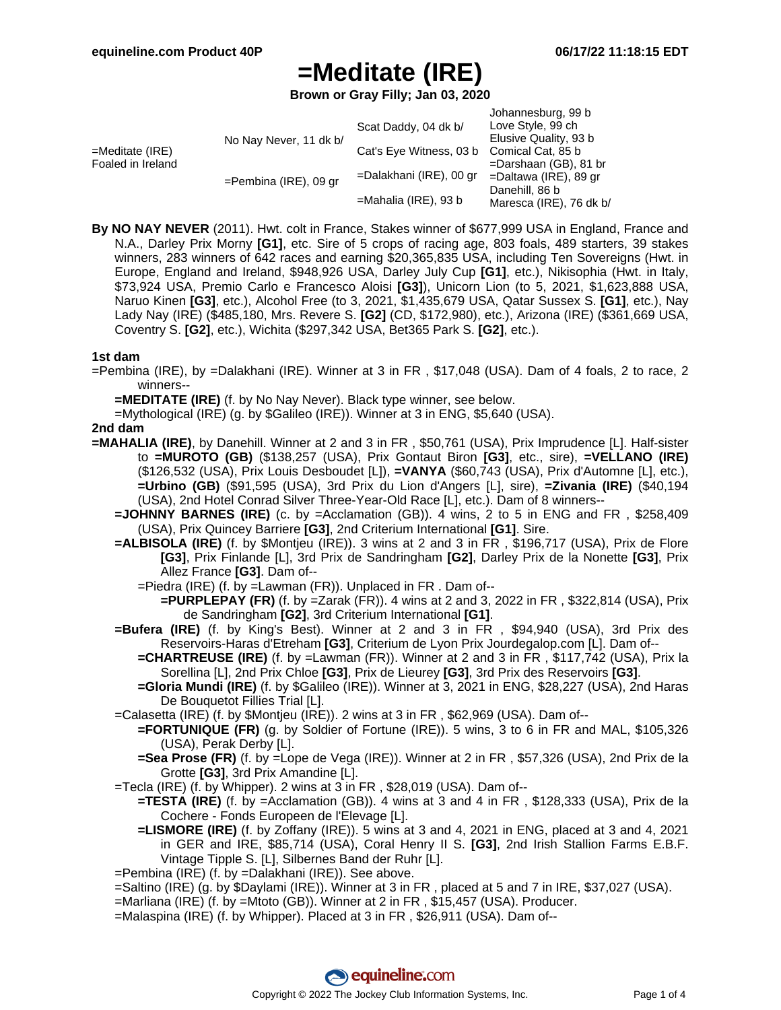**Brown or Gray Filly; Jan 03, 2020**

|                                         |                          | Scat Daddy, 04 dk b/    | Johannesburg, 99 b<br>Love Style, 99 ch   |
|-----------------------------------------|--------------------------|-------------------------|-------------------------------------------|
| $=$ Meditate (IRE)<br>Foaled in Ireland | No Nay Never, 11 dk b/   |                         | Elusive Quality, 93 b                     |
|                                         |                          | Cat's Eye Witness, 03 b | Comical Cat, 85 b                         |
|                                         |                          |                         | $=$ Darshaan (GB), 81 br                  |
|                                         | $=$ Pembina (IRE), 09 gr | =Dalakhani (IRE), 00 gr | $=$ Daltawa (IRE), 89 gr                  |
|                                         |                          | $=$ Mahalia (IRE), 93 b | Danehill, 86 b<br>Maresca (IRE), 76 dk b/ |

**By NO NAY NEVER** (2011). Hwt. colt in France, Stakes winner of \$677,999 USA in England, France and N.A., Darley Prix Morny **[G1]**, etc. Sire of 5 crops of racing age, 803 foals, 489 starters, 39 stakes winners, 283 winners of 642 races and earning \$20,365,835 USA, including Ten Sovereigns (Hwt. in Europe, England and Ireland, \$948,926 USA, Darley July Cup **[G1]**, etc.), Nikisophia (Hwt. in Italy, \$73,924 USA, Premio Carlo e Francesco Aloisi **[G3]**), Unicorn Lion (to 5, 2021, \$1,623,888 USA, Naruo Kinen **[G3]**, etc.), Alcohol Free (to 3, 2021, \$1,435,679 USA, Qatar Sussex S. **[G1]**, etc.), Nay Lady Nay (IRE) (\$485,180, Mrs. Revere S. **[G2]** (CD, \$172,980), etc.), Arizona (IRE) (\$361,669 USA, Coventry S. **[G2]**, etc.), Wichita (\$297,342 USA, Bet365 Park S. **[G2]**, etc.).

#### **1st dam**

=Pembina (IRE), by =Dalakhani (IRE). Winner at 3 in FR , \$17,048 (USA). Dam of 4 foals, 2 to race, 2 winners--

**=MEDITATE (IRE)** (f. by No Nay Never). Black type winner, see below.

=Mythological (IRE) (g. by \$Galileo (IRE)). Winner at 3 in ENG, \$5,640 (USA).

#### **2nd dam**

- **=MAHALIA (IRE)**, by Danehill. Winner at 2 and 3 in FR , \$50,761 (USA), Prix Imprudence [L]. Half-sister to **=MUROTO (GB)** (\$138,257 (USA), Prix Gontaut Biron **[G3]**, etc., sire), **=VELLANO (IRE)** (\$126,532 (USA), Prix Louis Desboudet [L]), **=VANYA** (\$60,743 (USA), Prix d'Automne [L], etc.), **=Urbino (GB)** (\$91,595 (USA), 3rd Prix du Lion d'Angers [L], sire), **=Zivania (IRE)** (\$40,194 (USA), 2nd Hotel Conrad Silver Three-Year-Old Race [L], etc.). Dam of 8 winners--
	- **=JOHNNY BARNES (IRE)** (c. by =Acclamation (GB)). 4 wins, 2 to 5 in ENG and FR , \$258,409 (USA), Prix Quincey Barriere **[G3]**, 2nd Criterium International **[G1]**. Sire.
	- **=ALBISOLA (IRE)** (f. by \$Montjeu (IRE)). 3 wins at 2 and 3 in FR , \$196,717 (USA), Prix de Flore **[G3]**, Prix Finlande [L], 3rd Prix de Sandringham **[G2]**, Darley Prix de la Nonette **[G3]**, Prix Allez France **[G3]**. Dam of--
		- =Piedra (IRE) (f. by =Lawman (FR)). Unplaced in FR . Dam of--
			- **=PURPLEPAY (FR)** (f. by =Zarak (FR)). 4 wins at 2 and 3, 2022 in FR , \$322,814 (USA), Prix de Sandringham **[G2]**, 3rd Criterium International **[G1]**.
	- **=Bufera (IRE)** (f. by King's Best). Winner at 2 and 3 in FR , \$94,940 (USA), 3rd Prix des Reservoirs-Haras d'Etreham **[G3]**, Criterium de Lyon Prix Jourdegalop.com [L]. Dam of--
		- **=CHARTREUSE (IRE)** (f. by =Lawman (FR)). Winner at 2 and 3 in FR , \$117,742 (USA), Prix la Sorellina [L], 2nd Prix Chloe **[G3]**, Prix de Lieurey **[G3]**, 3rd Prix des Reservoirs **[G3]**.
		- **=Gloria Mundi (IRE)** (f. by \$Galileo (IRE)). Winner at 3, 2021 in ENG, \$28,227 (USA), 2nd Haras De Bouquetot Fillies Trial [L].
	- =Calasetta (IRE) (f. by \$Montjeu (IRE)). 2 wins at 3 in FR , \$62,969 (USA). Dam of--
		- **=FORTUNIQUE (FR)** (g. by Soldier of Fortune (IRE)). 5 wins, 3 to 6 in FR and MAL, \$105,326 (USA), Perak Derby [L].
		- **=Sea Prose (FR)** (f. by =Lope de Vega (IRE)). Winner at 2 in FR , \$57,326 (USA), 2nd Prix de la Grotte **[G3]**, 3rd Prix Amandine [L].
	- =Tecla (IRE) (f. by Whipper). 2 wins at 3 in FR , \$28,019 (USA). Dam of--
		- **=TESTA (IRE)** (f. by =Acclamation (GB)). 4 wins at 3 and 4 in FR , \$128,333 (USA), Prix de la Cochere - Fonds Europeen de l'Elevage [L].
		- **=LISMORE (IRE)** (f. by Zoffany (IRE)). 5 wins at 3 and 4, 2021 in ENG, placed at 3 and 4, 2021 in GER and IRE, \$85,714 (USA), Coral Henry II S. **[G3]**, 2nd Irish Stallion Farms E.B.F. Vintage Tipple S. [L], Silbernes Band der Ruhr [L].
	- =Pembina (IRE) (f. by =Dalakhani (IRE)). See above.
	- =Saltino (IRE) (g. by \$Daylami (IRE)). Winner at 3 in FR , placed at 5 and 7 in IRE, \$37,027 (USA).
	- =Marliana (IRE) (f. by =Mtoto (GB)). Winner at 2 in FR , \$15,457 (USA). Producer.
	- =Malaspina (IRE) (f. by Whipper). Placed at 3 in FR , \$26,911 (USA). Dam of--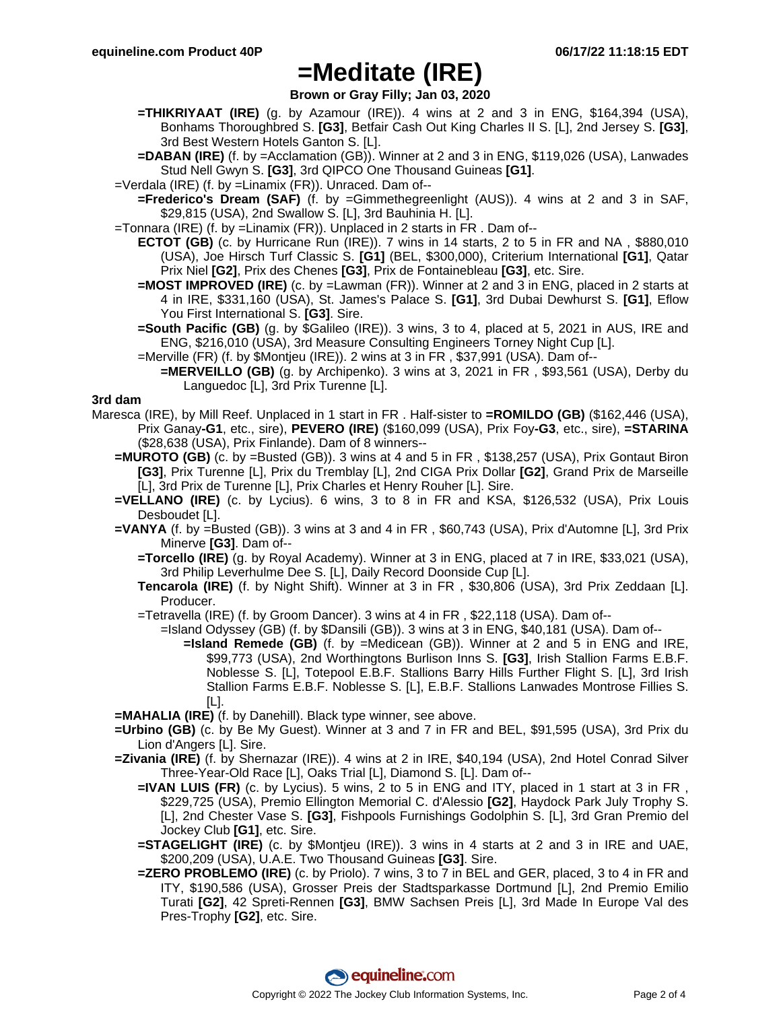**Brown or Gray Filly; Jan 03, 2020**

- **=THIKRIYAAT (IRE)** (g. by Azamour (IRE)). 4 wins at 2 and 3 in ENG, \$164,394 (USA), Bonhams Thoroughbred S. **[G3]**, Betfair Cash Out King Charles II S. [L], 2nd Jersey S. **[G3]**, 3rd Best Western Hotels Ganton S. [L].
- **=DABAN (IRE)** (f. by =Acclamation (GB)). Winner at 2 and 3 in ENG, \$119,026 (USA), Lanwades Stud Nell Gwyn S. **[G3]**, 3rd QIPCO One Thousand Guineas **[G1]**.
- =Verdala (IRE) (f. by =Linamix (FR)). Unraced. Dam of--
	- **=Frederico's Dream (SAF)** (f. by =Gimmethegreenlight (AUS)). 4 wins at 2 and 3 in SAF, \$29,815 (USA), 2nd Swallow S. [L], 3rd Bauhinia H. [L].
- =Tonnara (IRE) (f. by =Linamix (FR)). Unplaced in 2 starts in FR . Dam of--
	- **ECTOT (GB)** (c. by Hurricane Run (IRE)). 7 wins in 14 starts, 2 to 5 in FR and NA , \$880,010 (USA), Joe Hirsch Turf Classic S. **[G1]** (BEL, \$300,000), Criterium International **[G1]**, Qatar Prix Niel **[G2]**, Prix des Chenes **[G3]**, Prix de Fontainebleau **[G3]**, etc. Sire.
	- **=MOST IMPROVED (IRE)** (c. by =Lawman (FR)). Winner at 2 and 3 in ENG, placed in 2 starts at 4 in IRE, \$331,160 (USA), St. James's Palace S. **[G1]**, 3rd Dubai Dewhurst S. **[G1]**, Eflow You First International S. **[G3]**. Sire.
	- **=South Pacific (GB)** (g. by \$Galileo (IRE)). 3 wins, 3 to 4, placed at 5, 2021 in AUS, IRE and ENG, \$216,010 (USA), 3rd Measure Consulting Engineers Torney Night Cup [L].
	- =Merville (FR) (f. by \$Montjeu (IRE)). 2 wins at 3 in FR , \$37,991 (USA). Dam of--
		- **=MERVEILLO (GB)** (g. by Archipenko). 3 wins at 3, 2021 in FR , \$93,561 (USA), Derby du Languedoc [L], 3rd Prix Turenne [L].

### **3rd dam**

- Maresca (IRE), by Mill Reef. Unplaced in 1 start in FR . Half-sister to **=ROMILDO (GB)** (\$162,446 (USA), Prix Ganay**-G1**, etc., sire), **PEVERO (IRE)** (\$160,099 (USA), Prix Foy**-G3**, etc., sire), **=STARINA** (\$28,638 (USA), Prix Finlande). Dam of 8 winners--
	- **=MUROTO (GB)** (c. by =Busted (GB)). 3 wins at 4 and 5 in FR , \$138,257 (USA), Prix Gontaut Biron **[G3]**, Prix Turenne [L], Prix du Tremblay [L], 2nd CIGA Prix Dollar **[G2]**, Grand Prix de Marseille [L], 3rd Prix de Turenne [L], Prix Charles et Henry Rouher [L]. Sire.
	- **=VELLANO (IRE)** (c. by Lycius). 6 wins, 3 to 8 in FR and KSA, \$126,532 (USA), Prix Louis Desboudet [L].
	- **=VANYA** (f. by =Busted (GB)). 3 wins at 3 and 4 in FR , \$60,743 (USA), Prix d'Automne [L], 3rd Prix Minerve **[G3]**. Dam of--
		- **=Torcello (IRE)** (g. by Royal Academy). Winner at 3 in ENG, placed at 7 in IRE, \$33,021 (USA), 3rd Philip Leverhulme Dee S. [L], Daily Record Doonside Cup [L].
		- **Tencarola (IRE)** (f. by Night Shift). Winner at 3 in FR , \$30,806 (USA), 3rd Prix Zeddaan [L]. Producer.
		- =Tetravella (IRE) (f. by Groom Dancer). 3 wins at 4 in FR , \$22,118 (USA). Dam of--
			- =Island Odyssey (GB) (f. by \$Dansili (GB)). 3 wins at 3 in ENG, \$40,181 (USA). Dam of--
				- **=Island Remede (GB)** (f. by =Medicean (GB)). Winner at 2 and 5 in ENG and IRE, \$99,773 (USA), 2nd Worthingtons Burlison Inns S. **[G3]**, Irish Stallion Farms E.B.F. Noblesse S. [L], Totepool E.B.F. Stallions Barry Hills Further Flight S. [L], 3rd Irish Stallion Farms E.B.F. Noblesse S. [L], E.B.F. Stallions Lanwades Montrose Fillies S. [L].
	- **=MAHALIA (IRE)** (f. by Danehill). Black type winner, see above.
	- **=Urbino (GB)** (c. by Be My Guest). Winner at 3 and 7 in FR and BEL, \$91,595 (USA), 3rd Prix du Lion d'Angers [L]. Sire.
	- **=Zivania (IRE)** (f. by Shernazar (IRE)). 4 wins at 2 in IRE, \$40,194 (USA), 2nd Hotel Conrad Silver Three-Year-Old Race [L], Oaks Trial [L], Diamond S. [L]. Dam of--
		- **=IVAN LUIS (FR)** (c. by Lycius). 5 wins, 2 to 5 in ENG and ITY, placed in 1 start at 3 in FR , \$229,725 (USA), Premio Ellington Memorial C. d'Alessio **[G2]**, Haydock Park July Trophy S. [L], 2nd Chester Vase S. **[G3]**, Fishpools Furnishings Godolphin S. [L], 3rd Gran Premio del Jockey Club **[G1]**, etc. Sire.
		- **=STAGELIGHT (IRE)** (c. by \$Montjeu (IRE)). 3 wins in 4 starts at 2 and 3 in IRE and UAE, \$200,209 (USA), U.A.E. Two Thousand Guineas **[G3]**. Sire.
		- **=ZERO PROBLEMO (IRE)** (c. by Priolo). 7 wins, 3 to 7 in BEL and GER, placed, 3 to 4 in FR and ITY, \$190,586 (USA), Grosser Preis der Stadtsparkasse Dortmund [L], 2nd Premio Emilio Turati **[G2]**, 42 Spreti-Rennen **[G3]**, BMW Sachsen Preis [L], 3rd Made In Europe Val des Pres-Trophy **[G2]**, etc. Sire.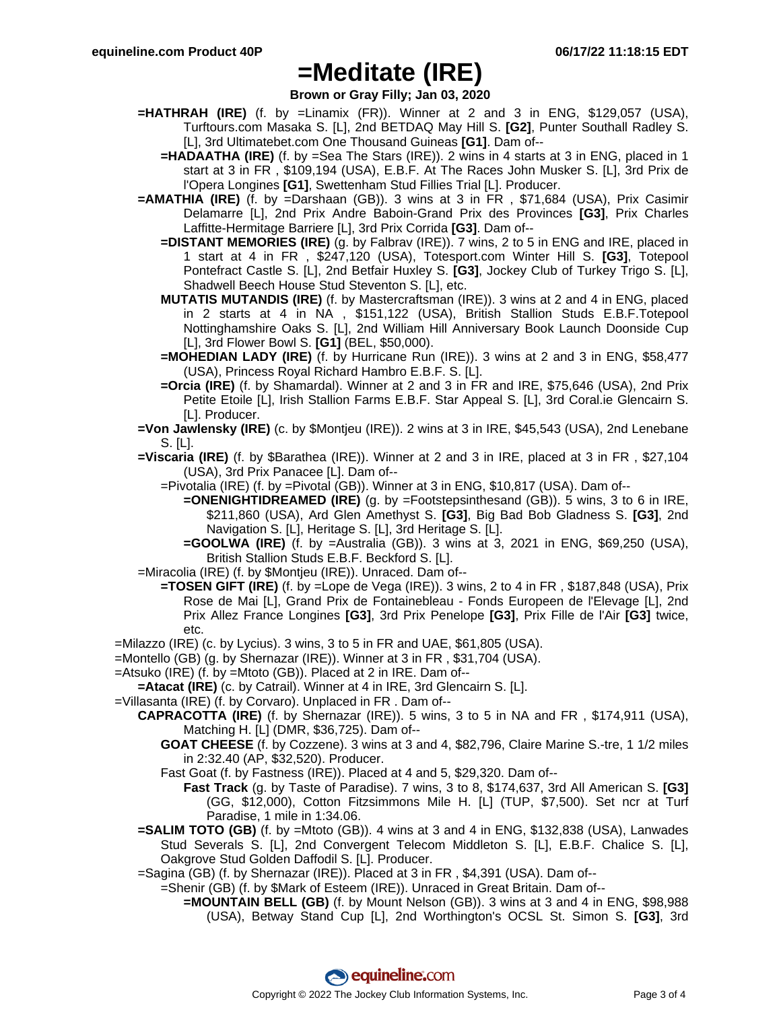**Brown or Gray Filly; Jan 03, 2020**

- **=HATHRAH (IRE)** (f. by =Linamix (FR)). Winner at 2 and 3 in ENG, \$129,057 (USA), Turftours.com Masaka S. [L], 2nd BETDAQ May Hill S. **[G2]**, Punter Southall Radley S. [L], 3rd Ultimatebet.com One Thousand Guineas **[G1]**. Dam of--
	- **=HADAATHA (IRE)** (f. by =Sea The Stars (IRE)). 2 wins in 4 starts at 3 in ENG, placed in 1 start at 3 in FR , \$109,194 (USA), E.B.F. At The Races John Musker S. [L], 3rd Prix de l'Opera Longines **[G1]**, Swettenham Stud Fillies Trial [L]. Producer.
- **=AMATHIA (IRE)** (f. by =Darshaan (GB)). 3 wins at 3 in FR , \$71,684 (USA), Prix Casimir Delamarre [L], 2nd Prix Andre Baboin-Grand Prix des Provinces **[G3]**, Prix Charles Laffitte-Hermitage Barriere [L], 3rd Prix Corrida **[G3]**. Dam of--
	- **=DISTANT MEMORIES (IRE)** (g. by Falbrav (IRE)). 7 wins, 2 to 5 in ENG and IRE, placed in 1 start at 4 in FR , \$247,120 (USA), Totesport.com Winter Hill S. **[G3]**, Totepool Pontefract Castle S. [L], 2nd Betfair Huxley S. **[G3]**, Jockey Club of Turkey Trigo S. [L], Shadwell Beech House Stud Steventon S. [L], etc.
	- **MUTATIS MUTANDIS (IRE)** (f. by Mastercraftsman (IRE)). 3 wins at 2 and 4 in ENG, placed in 2 starts at 4 in NA , \$151,122 (USA), British Stallion Studs E.B.F.Totepool Nottinghamshire Oaks S. [L], 2nd William Hill Anniversary Book Launch Doonside Cup [L], 3rd Flower Bowl S. **[G1]** (BEL, \$50,000).
	- **=MOHEDIAN LADY (IRE)** (f. by Hurricane Run (IRE)). 3 wins at 2 and 3 in ENG, \$58,477 (USA), Princess Royal Richard Hambro E.B.F. S. [L].
	- **=Orcia (IRE)** (f. by Shamardal). Winner at 2 and 3 in FR and IRE, \$75,646 (USA), 2nd Prix Petite Etoile [L], Irish Stallion Farms E.B.F. Star Appeal S. [L], 3rd Coral.ie Glencairn S. [L]. Producer.
- **=Von Jawlensky (IRE)** (c. by \$Montjeu (IRE)). 2 wins at 3 in IRE, \$45,543 (USA), 2nd Lenebane S. [L].
- **=Viscaria (IRE)** (f. by \$Barathea (IRE)). Winner at 2 and 3 in IRE, placed at 3 in FR , \$27,104 (USA), 3rd Prix Panacee [L]. Dam of--
	- =Pivotalia (IRE) (f. by =Pivotal (GB)). Winner at 3 in ENG, \$10,817 (USA). Dam of--
		- **=ONENIGHTIDREAMED (IRE)** (g. by =Footstepsinthesand (GB)). 5 wins, 3 to 6 in IRE, \$211,860 (USA), Ard Glen Amethyst S. **[G3]**, Big Bad Bob Gladness S. **[G3]**, 2nd Navigation S. [L], Heritage S. [L], 3rd Heritage S. [L].
		- **=GOOLWA (IRE)** (f. by =Australia (GB)). 3 wins at 3, 2021 in ENG, \$69,250 (USA), British Stallion Studs E.B.F. Beckford S. [L].
- =Miracolia (IRE) (f. by \$Montjeu (IRE)). Unraced. Dam of--
	- **=TOSEN GIFT (IRE)** (f. by =Lope de Vega (IRE)). 3 wins, 2 to 4 in FR , \$187,848 (USA), Prix Rose de Mai [L], Grand Prix de Fontainebleau - Fonds Europeen de l'Elevage [L], 2nd Prix Allez France Longines **[G3]**, 3rd Prix Penelope **[G3]**, Prix Fille de l'Air **[G3]** twice, etc.
- =Milazzo (IRE) (c. by Lycius). 3 wins, 3 to 5 in FR and UAE, \$61,805 (USA).
- =Montello (GB) (g. by Shernazar (IRE)). Winner at 3 in FR , \$31,704 (USA).
- =Atsuko (IRE) (f. by =Mtoto (GB)). Placed at 2 in IRE. Dam of--
- **=Atacat (IRE)** (c. by Catrail). Winner at 4 in IRE, 3rd Glencairn S. [L].
- =Villasanta (IRE) (f. by Corvaro). Unplaced in FR . Dam of--
	- **CAPRACOTTA (IRE)** (f. by Shernazar (IRE)). 5 wins, 3 to 5 in NA and FR , \$174,911 (USA), Matching H. [L] (DMR, \$36,725). Dam of--
		- **GOAT CHEESE** (f. by Cozzene). 3 wins at 3 and 4, \$82,796, Claire Marine S.-tre, 1 1/2 miles in 2:32.40 (AP, \$32,520). Producer.
		- Fast Goat (f. by Fastness (IRE)). Placed at 4 and 5, \$29,320. Dam of--
			- **Fast Track** (g. by Taste of Paradise). 7 wins, 3 to 8, \$174,637, 3rd All American S. **[G3]** (GG, \$12,000), Cotton Fitzsimmons Mile H. [L] (TUP, \$7,500). Set ncr at Turf Paradise, 1 mile in 1:34.06.
	- **=SALIM TOTO (GB)** (f. by =Mtoto (GB)). 4 wins at 3 and 4 in ENG, \$132,838 (USA), Lanwades Stud Severals S. [L], 2nd Convergent Telecom Middleton S. [L], E.B.F. Chalice S. [L], Oakgrove Stud Golden Daffodil S. [L]. Producer.
	- =Sagina (GB) (f. by Shernazar (IRE)). Placed at 3 in FR , \$4,391 (USA). Dam of--
		- =Shenir (GB) (f. by \$Mark of Esteem (IRE)). Unraced in Great Britain. Dam of--
			- **=MOUNTAIN BELL (GB)** (f. by Mount Nelson (GB)). 3 wins at 3 and 4 in ENG, \$98,988 (USA), Betway Stand Cup [L], 2nd Worthington's OCSL St. Simon S. **[G3]**, 3rd